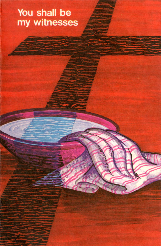## You shall be my witnesses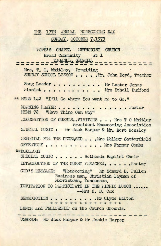## THE 17TH ANNUAL HOMECOMING DAY SUNDAY, OCTOBER 7,1973

**POPE'S CHAPEL METHODIST CHURCH** Broad Community Rt 1 **TIGANLL, GEORGIA = = = = = = = = = = = = = USHERS: Mr Jack Harper & Mr Jackie Harper** Mrs. T. O. Whitley, Presiding SUNDAY SCHOOL LESSON . . . . . . . Yr. John Boyd, Teacher Song Leader . . . . . . . . . . Mr Lester Jones Pianist . . . . . . . . . . . Mrs Ethell Bufford **\*\* HYIN 142 "I'll Go where You want me to Go." MORNING PRAYER................... HYMN 72** "Have Thine Own Way" RECOGNITION OF GUESTS.. VISITORS . . . Mrs T O Whitley President Homecoming Association S. ECTAL MUSIC : Mr Jack Harper & Mr. Bert Hensley MEMORIAL FOR THE DECEASED . . . Mrs Walker Satterfield OFFERTORY . . . . . . . . . . . . Mrs Farmer Combs **\* \* DOXOLOGY** SPECIAL MUSIC . . . . . Bethesda Baptist Choir **INTRODUCTION OF THE GUEST PREACHER. ......Tastor** GOD'S MESSAGE: "Homecoming" Mr Edward B. Pullen Business man. Christian layman of Morristown, Tennessee. **INVITATION TO PARTICIPATE IN THE PICNIC LUNCH. . . . . . — Mrs H. B. Cox BENEDICTION............................................. Mr C ly d e W a lto n \* \* \* \* \* \* \* \* \* \* \* \* \* \* \*** LUNCH and FELLOWSHIP on the Church Grounds.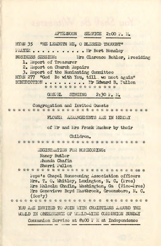## **AFTERNOON SERVICE 2:00 P.M.**

HYMN 35 "HE LEADETH ME, O BLESSED THOUGHT" **PRAYER.** . . . . . . . . . . . In Bert Hensley **BUSINESS SESSION:** Mrs Clarence Bohler, Presiding 1. Report of Treasurer 2. Report on Church Repairs 3. Report of the Nominating Committee HYMN 277 "God Be with You, till we meet again"

**BENEDICTION........ Mr Edward B. Pullen** \* \* \* \* \* \* \* \* \* \* \* \* \* \*

GOSPEL SINGING 2:30 P. M.

**C o n g re g a tio n and I n v i t e d G u e sts**

**FLOWER ARRANGEMENTS ARE IN MEMORY**

of Mr and Mrs Frank Rucker by their

Children.

REGISTRATION FOR HOMECOMING:

**Nancy Butler Rhonda** Chafin

**S h e r r i P u lle n** Pope's Chapel Homecoming Association officers Mrs. T. O. Whitley, Lexington, N. C. (Pres) Mrs Malcolm Chafin, Washington, Ga (Vice-Fres) Mrs Genevieve Boyd Mastbrook, Greensboro, N. C. **( S e c 'y )**

YOU ARE INVITED TO JOIN WITH CHRISTIANS AROUND THE WORLD IN OBSERVANCE OF WORLD-WIDE COMMUNION SUNDAY

Communion Service at 8:00 PM at Independence